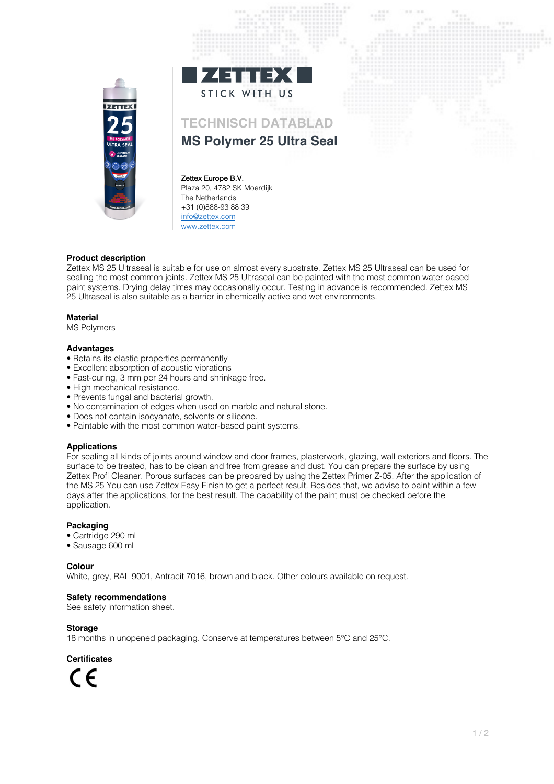

# **Product description**

Zettex MS 25 Ultraseal is suitable for use on almost every substrate. Zettex MS 25 Ultraseal can be used for sealing the most common joints. Zettex MS 25 Ultraseal can be painted with the most common water based paint systems. Drying delay times may occasionally occur. Testing in advance is recommended. Zettex MS 25 Ultraseal is also suitable as a barrier in chemically active and wet environments.

### **Material**

MS Polymers

#### **Advantages**

- Retains its elastic properties permanently
- Excellent absorption of acoustic vibrations
- Fast-curing, 3 mm per 24 hours and shrinkage free.
- High mechanical resistance.
- Prevents fungal and bacterial growth.
- No contamination of edges when used on marble and natural stone.
- Does not contain isocyanate, solvents or silicone.
- Paintable with the most common water-based paint systems.

### **Applications**

For sealing all kinds of joints around window and door frames, plasterwork, glazing, wall exteriors and floors. The surface to be treated, has to be clean and free from grease and dust. You can prepare the surface by using Zettex Profi Cleaner. Porous surfaces can be prepared by using the Zettex Primer Z-05. After the application of the MS 25 You can use Zettex Easy Finish to get a perfect result. Besides that, we advise to paint within a few days after the applications, for the best result. The capability of the paint must be checked before the application.

## **Packaging**

- Cartridge 290 ml
- Sausage 600 ml

**Colour**

White, grey, RAL 9001, Antracit 7016, brown and black. Other colours available on request.

### **Safety recommendations**

See safety information sheet.

### **Storage**

18 months in unopened packaging. Conserve at temperatures between 5°C and 25°C.

**Certificates**

 $\epsilon$